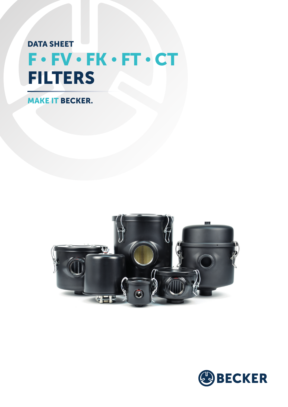# F • FV • FK • FT • CT DATA SHEET FILTERS

MAKE IT BECKER.



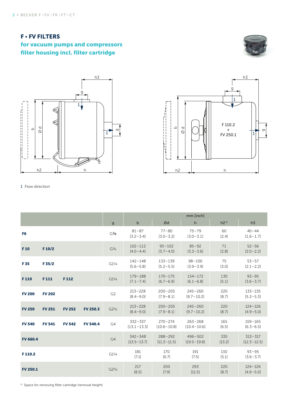### F • FV FILTERS for vacuum pumps and compressors filter housing incl. filter cartridge







#### 1 Flow direction

|                 |               |               |                 |                   | mm [inch]                      |                                |                                |                 |                                |
|-----------------|---------------|---------------|-----------------|-------------------|--------------------------------|--------------------------------|--------------------------------|-----------------|--------------------------------|
|                 |               |               |                 | $\mathsf{g}$      | $\sf b$                        | Ød                             | h                              | h2 <sup>1</sup> | h3                             |
| F <sub>6</sub>  |               |               |                 | G <sup>3</sup> /8 | $81 - 87$<br>$[3.2 - 3.4]$     | $77 - 80$<br>$[3.0 - 3.2]$     | $75 - 79$<br>$[3.0 - 3.1]$     | 60<br>[2.4]     | $40 - 44$<br>$[1.6 - 1.7]$     |
| F <sub>10</sub> | F 10/2        |               |                 | $G^{3/4}$         | $102 - 112$<br>$[4.0 - 4.4]$   | $95 - 102$<br>$[3.7 - 4.0]$    | $85 - 92$<br>$[3.3 - 3.6]$     | 71<br>[2.8]     | $52 - 56$<br>$[2.0 - 2.2]$     |
| F 35            | F 35/2        |               |                 | $G1^{1/4}$        | $142 - 148$<br>$[5.6 - 5.8]$   | $133 - 139$<br>$[5.2 - 5.5]$   | $98 - 100$<br>$[3.9 - 3.9]$    | 75<br>[3.0]     | $53 - 57$<br>$[2.1 - 2.2]$     |
| F110            | F111          | F112          |                 | $G1^{1/4}$        | $179 - 188$<br>$[7.1 - 7.4]$   | $170 - 175$<br>$[6.7 - 6.9]$   | $154 - 172$<br>$[6.1 - 6.8]$   | 130<br>[5.1]    | $93 - 95$<br>$[3.6 - 3.7]$     |
| <b>FV 200</b>   | <b>FV 202</b> |               |                 | G <sub>2</sub>    | $213 - 228$<br>$[8.4 - 9.0]$   | $200 - 205$<br>$[7.9 - 8.1]$   | $245 - 260$<br>$[9.7 - 10.2]$  | 220<br>[8.7]    | $133 - 135$<br>$[5.2 - 5.3]$   |
| <b>FV 250</b>   | <b>FV 251</b> | <b>FV 252</b> | <b>FV 250.3</b> | $G2^{1/2}$        | $213 - 228$<br>$[8.4 - 9.0]$   | $200 - 205$<br>$[7.9 - 8.1]$   | $245 - 260$<br>$[9.7 - 10.2]$  | 220<br>[8.7]    | $124 - 126$<br>$[4.9 - 5.0]$   |
| <b>FV 540</b>   | <b>FV 541</b> | <b>FV 542</b> | <b>FV 540.4</b> | G4                | $332 - 337$<br>$[13.1 - 13.3]$ | $270 - 274$<br>$[10.6 - 10.8]$ | $263 - 268$<br>$[10.4 - 10.6]$ | 165<br>[6.5]    | $159 - 165$<br>$[6.3 - 6.5]$   |
| <b>FV 660.4</b> |               |               |                 | G4                | $342 - 348$<br>$[13.5 - 13.7]$ | $288 - 292$<br>$[11.3 - 11.5]$ | $496 - 502$<br>$[19.5 - 19.8]$ | 335<br>[13.2]   | $313 - 317$<br>$[12.3 - 12.5]$ |
| F110.2          |               |               |                 | $G1^{1/4}$        | 181<br>[7.1]                   | 170<br>[6.7]                   | 191<br>[7.5]                   | 130<br>[5.1]    | $93 - 95$<br>$[3.6 - 3.7]$     |
| <b>FV 250.1</b> |               |               |                 | $G2^{1/2}$        | 217<br>[8.5]                   | 200<br>[7.9]                   | 293<br>[11.5]                  | 220<br>[8.7]    | $124 - 126$<br>$[4.9 - 5.0]$   |

<sup>1)</sup> Space for removing filter cartridge (removal height)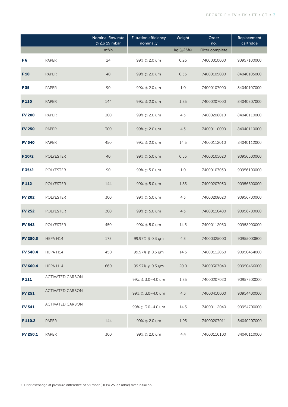|                 |                         | Nominal flow rate<br>@ ∆p 19 mbar | <b>Filtration efficiency</b><br>nominally | Weight         | Order<br>no.    | Replacement<br>cartridge |
|-----------------|-------------------------|-----------------------------------|-------------------------------------------|----------------|-----------------|--------------------------|
|                 |                         | $m^3/h$                           |                                           | kg $(\pm 25%)$ | Filter complete |                          |
| F <sub>6</sub>  | PAPER                   | 24                                | 99% @ 2.0 ym                              | 0.26           | 74000010000     | 90957100000              |
| F <sub>10</sub> | <b>PAPER</b>            | 40                                | 99% @ 2.0 ym                              | 0.55           | 74000105000     | 84040105000              |
| F 35            | PAPER                   | 90                                | 99% @ 2.0 ym                              | 1.0            | 74000107000     | 84040107000              |
| F110            | <b>PAPER</b>            | 144                               | 99% @ 2.0 ym                              | 1.85           | 74000207000     | 84040207000              |
| <b>FV 200</b>   | PAPER                   | 300                               | 99% @ 2.0 ym                              | 4.3            | 74000208010     | 84040110000              |
| <b>FV 250</b>   | <b>PAPER</b>            | 300                               | 99% @ 2.0 ym                              | 4.3            | 74000110000     | 84040110000              |
| <b>FV 540</b>   | PAPER                   | 450                               | 99% @ 2.0 ym                              | 14.5           | 74000112010     | 84040112000              |
| F 10/2          | <b>POLYESTER</b>        | 40                                | 99% @ 5.0 ym                              | 0.55           | 74000105020     | 90956500000              |
| F 35/2          | <b>POLYESTER</b>        | 90                                | 99% @ 5.0 ym                              | 1.0            | 74000107030     | 90956100000              |
| F112            | <b>POLYESTER</b>        | 144                               | 99% @ 5.0 ym                              | 1.85           | 74000207030     | 90956600000              |
| <b>FV 202</b>   | <b>POLYESTER</b>        | 300                               | 99% @ 5.0 ym                              | 4.3            | 74000208020     | 90956700000              |
| <b>FV 252</b>   | <b>POLYESTER</b>        | 300                               | 99% @ 5.0 ym                              | 4.3            | 74000110400     | 90956700000              |
| <b>FV 542</b>   | <b>POLYESTER</b>        | 450                               | 99% @ 5.0 ym                              | 14.5           | 74000112050     | 90958900000              |
| <b>FV 250.3</b> | HEPA H14                | 173                               | 99.97% @ 0.3 ym                           | 4.3            | 74000325000     | 90955000800              |
| <b>FV 540.4</b> | HEPA H14                | 450                               | 99.97% @ 0.3 ym                           | 14.5           | 74000112060     | 90950454000              |
| <b>FV 660.4</b> | HEPA H14                | 660                               | 99.97% @ 0.3 ym                           | 20.0           | 74000307040     | 90950466000              |
| F111            | <b>ACTIVATED CARBON</b> |                                   | 99% @ 3.0-4.0 um                          | 1.85           | 74000207020     | 90957500000              |
| <b>FV 251</b>   | <b>ACTIVATED CARBON</b> |                                   | 99% @ 3.0-4.0 ym                          | 4.3            | 74000410000     | 90954400000              |
| <b>FV 541</b>   | <b>ACTIVATED CARBON</b> |                                   | 99% @ 3.0-4.0 um                          | 14.5           | 74000112040     | 90954700000              |
| F110.2          | <b>PAPER</b>            | 144                               | 99% @ 2.0 ym                              | 1.95           | 74000207011     | 84040207000              |
| <b>FV 250.1</b> | <b>PAPER</b>            | 300                               | 99% @ 2.0 ym                              | 4.4            | 74000110100     | 84040110000              |

- Filter exchange at pressure difference of 38 mbar (HEPA 25-37 mbar) over initial Ap.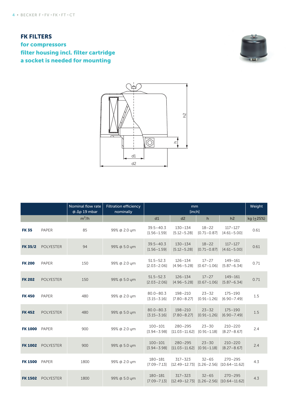### **FK FILTERS** for compressors filter housing incl. filter cartridge a socket is needed for mounting





|                |                  | Nominal flow rate<br><b>Filtration efficiency</b><br>$@$ $\Delta p$ 19 mbar<br>nominally |              |                                  | Weight                                           |                              |                                  |                |
|----------------|------------------|------------------------------------------------------------------------------------------|--------------|----------------------------------|--------------------------------------------------|------------------------------|----------------------------------|----------------|
|                |                  | $m^3/h$                                                                                  |              | d1                               | d2                                               | h                            | h2                               | kg $(\pm 25%)$ |
| <b>FK 35</b>   | <b>PAPER</b>     | 85                                                                                       | 99% @ 2.0 ym | $39.5 - 40.3$<br>$[1.56 - 1.59]$ | $130 - 134$<br>$[5.12 - 5.28]$                   | $18 - 22$<br>$[0.71 - 0.87]$ | $117 - 127$<br>$[4.61 - 5.00]$   | 0.61           |
| <b>FK 35/2</b> | <b>POLYESTER</b> | 94                                                                                       | 99% @ 5.0 ym | $39.5 - 40.3$<br>$[1.56 - 1.59]$ | $130 - 134$<br>$[5.12 - 5.28]$                   | $18 - 22$<br>$[0.71 - 0.87]$ | $117 - 127$<br>$[4.61 - 5.00]$   | 0.61           |
| <b>FK 200</b>  | <b>PAPER</b>     | 150                                                                                      | 99% @ 2.0 um | $51.5 - 52.3$<br>$[2.03 - 2.06]$ | $126 - 134$<br>$[4.96 - 5.28]$                   | $17 - 27$<br>$[0.67 - 1.06]$ | $149 - 161$<br>$[5.87 - 6.34]$   | 0.71           |
| <b>FK 202</b>  | <b>POLYESTER</b> | 150                                                                                      | 99% @ 5.0 um | $51.5 - 52.3$<br>$[2.03 - 2.06]$ | $126 - 134$<br>$[4.96 - 5.28]$                   | $17 - 27$<br>$[0.67 - 1.06]$ | $149 - 161$<br>$[5.87 - 6.34]$   | 0.71           |
| <b>FK450</b>   | PAPER            | 480                                                                                      | 99% @ 2.0 ym | $80.0 - 80.3$<br>$[3.15 - 3.16]$ | $198 - 210$<br>$[7.80 - 8.27]$                   | $23 - 32$<br>$[0.91 - 1.26]$ | $175 - 190$<br>$[6.90 - 7.49]$   | 1.5            |
| <b>FK452</b>   | <b>POLYESTER</b> | 480                                                                                      | 99% @ 5.0 ym | $80.0 - 80.3$<br>$[3.15 - 3.16]$ | $198 - 210$<br>$[7.80 - 8.27]$                   | $23 - 32$<br>$[0.91 - 1.26]$ | $175 - 190$<br>$[6.90 - 7.49]$   | 1.5            |
| <b>FK 1000</b> | <b>PAPER</b>     | 900                                                                                      | 99% @ 2.0 ym | $100 - 101$<br>$[3.94 - 3.98]$   | $280 - 295$<br>$[11.03 - 11.62]$                 | $23 - 30$<br>$[0.91 - 1.18]$ | $210 - 220$<br>$[8.27 - 8.67]$   | 2.4            |
| <b>FK 1002</b> | <b>POLYESTER</b> | 900                                                                                      | 99% @ 5.0 um | $100 - 101$<br>$[3.94 - 3.98]$   | $280 - 295$<br>$[11.03 - 11.62]$                 | $23 - 30$<br>$[0.91 - 1.18]$ | $210 - 220$<br>$[8.27 - 8.67]$   | 2.4            |
| <b>FK 1500</b> | <b>PAPER</b>     | 1800                                                                                     | 99% @ 2.0 ym | $180 - 181$<br>$[7.09 - 7.13]$   | $317 - 323$<br>$[12.49 - 12.73]$ $[1.26 - 2.56]$ | $32 - 65$                    | $270 - 295$<br>$[10.64 - 11.62]$ | 4.3            |
| <b>FK 1502</b> | <b>POLYESTER</b> | 1800                                                                                     | 99% @ 5.0 um | $180 - 181$<br>$[7.09 - 7.13]$   | $317 - 323$<br>$[12.49 - 12.73]$                 | $32 - 65$<br>$[1.26 - 2.56]$ | $270 - 295$<br>$[10.64 - 11.62]$ | 4.3            |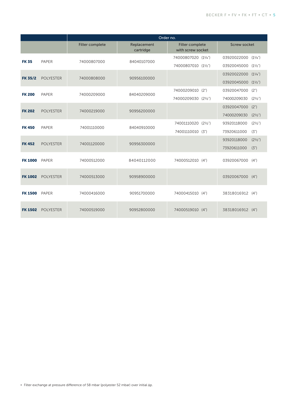|                |                  | Order no.       |                          |                                      |                                     |  |  |  |  |
|----------------|------------------|-----------------|--------------------------|--------------------------------------|-------------------------------------|--|--|--|--|
|                |                  | Filter complete | Replacement<br>cartridge | Filter complete<br>with screw socket | <b>Screw socket</b>                 |  |  |  |  |
| <b>FK 35</b>   | <b>PAPER</b>     | 74000807000     | 84040107000              | 74000807020 (11/4")                  | 03920022000<br>(1 <sup>1</sup> /4") |  |  |  |  |
|                |                  |                 |                          | 74000807010 (11/2")                  | 03920045000<br>(11/2")              |  |  |  |  |
| <b>FK 35/2</b> | <b>POLYESTER</b> | 74000808000     | 90956100000              |                                      | 03920022000<br>(1 <sup>1</sup> /4") |  |  |  |  |
|                |                  |                 |                          |                                      | 03920045000<br>(1 <sup>1</sup> /2") |  |  |  |  |
| <b>FK 200</b>  | PAPER            | 74000209000     | 84040209000              | 74000209010<br>(2")                  | (2")<br>03920047000                 |  |  |  |  |
|                |                  |                 |                          | 74000209030<br>$(2^{1/2})$           | 74000209030<br>$(2^{1/2})$          |  |  |  |  |
| <b>FK 202</b>  | <b>POLYESTER</b> | 74000219000     | 90956200000              |                                      | (2")<br>03920047000                 |  |  |  |  |
|                |                  |                 |                          |                                      | 74000209030<br>$(2^{1/2})$          |  |  |  |  |
| <b>FK450</b>   | PAPER            | 74001110000     | 84040910000              | 74001110020<br>$(2^{1/2})$           | $(2^{1/2})$<br>93920118000          |  |  |  |  |
|                |                  |                 |                          | 74001110010<br>(3")                  | 73920611000<br>(3")                 |  |  |  |  |
| <b>FK452</b>   | <b>POLYESTER</b> | 74001120000     | 90956300000              |                                      | 93920118000<br>$(2^{1/2})$          |  |  |  |  |
|                |                  |                 |                          |                                      | 73920611000<br>(3")                 |  |  |  |  |
| <b>FK 1000</b> | PAPER            | 74000512000     | 84040112000              | 74000512010 (4")                     | 03920067000<br>(4")                 |  |  |  |  |
|                |                  |                 |                          |                                      |                                     |  |  |  |  |
| <b>FK 1002</b> | <b>POLYESTER</b> | 74000513000     | 90958900000              |                                      | 03920067000<br>(4")                 |  |  |  |  |
| <b>FK 1500</b> | <b>PAPER</b>     | 74000416000     | 90951700000              | 74000415010 (4")                     | 38318016912 (4")                    |  |  |  |  |
|                |                  |                 |                          |                                      |                                     |  |  |  |  |
| <b>FK 1502</b> | <b>POLYESTER</b> | 74000519000     | 90952800000              | 74000519010<br>(4")                  | 38318016912 (4")                    |  |  |  |  |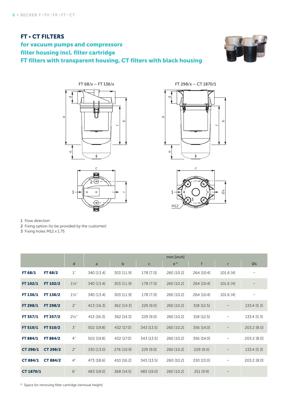#### FT • CT FILTERS for vacuum pumps and compressors filter housing incl. filter cartridge FT filters with transparent housing, CT filters with black housing











 $M1$ 

1 Flow direction

2 Fixing option (to be provided by the customer)

3 Fixing holes M12 x 1.75

|                 |                 |                | mm [inch]    |             |              |            |            |                   |                   |
|-----------------|-----------------|----------------|--------------|-------------|--------------|------------|------------|-------------------|-------------------|
|                 |                 | d              | $\mathsf{a}$ | $\mathsf b$ | $\mathsf{C}$ | $e^{1}$    | f          | r                 | Øs                |
| FT 68/1         | FT 68/2         | 1"             | 340 [13.4]   | 303 [11.9]  | 178 [7.0]    | 260 [10.2] | 264 [10.4] | 101.6 [4]         |                   |
| FT 102/1        | FT 102/2        | $1^{1/4}$      | 340 [13.4]   | 303 [11.9]  | 178 [7.0]    | 260 [10.2] | 264 [10.4] | 101.6 [4]         | $\qquad \qquad -$ |
| FT 136/1        | FT 136/2        | $1\frac{1}{2}$ | 340 [13.4]   | 303 [11.9]  | 178 [7.0]    | 260 [10.2] | 264 [10.4] | 101.6 [4]         | $\qquad \qquad -$ |
| FT 298/1        | FT 298/2        | 2"             | 413 [16.3]   | 362 [14.3]  | $229$ [9.0]  | 260 [10.2] | 318 [12.5] | $\qquad \qquad -$ | 133.4 [5.3]       |
| FT 357/1        | FT 357/2        | $2^{1/2}$ "    | 413 [16.3]   | 362 [14.3]  | 229 [9.0]    | 260 [10.2] | 318 [12.5] | -                 | 133.4 [5.3]       |
| FT 510/1        | FT 510/2        | 3"             | 502 [19.8]   | 432 [17.0]  | 343 [13.5]   | 260 [10.2] | 356 [14.0] | $\qquad \qquad -$ | 203.2 [8.0]       |
| FT 884/1        | FT 884/2        | 4"             | 502 [19.8]   | 432 [17.0]  | 343 [13.5]   | 260 [10.2] | 356 [14.0] | $\qquad \qquad -$ | 203.2 [8.0]       |
| <b>CT 298/1</b> | <b>CT 298/2</b> | 2"             | 330 [13.0]   | 276 [10.9]  | $229$ [9.0]  | 260 [10.2] | 229 [9.0]  |                   | 133.4 [5.3]       |
| <b>CT 884/1</b> | <b>CT 884/2</b> | 4"             | 473 [18.6]   | 410 [16.2]  | 343 [13.5]   | 260 [10.2] | 330 [13.0] | —                 | 203.2 [8.0]       |
| CT 1870/1       |                 | 6"             | 483 [19.0]   | 368 [14.5]  | 483 [19.0]   | 260 [10.2] | 251 [9.9]  | —                 |                   |

<sup>1)</sup> Space for removing filter cartridge (removal height)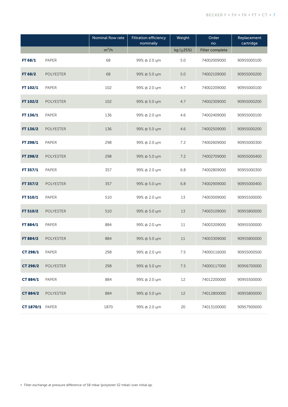|                        |                  | Nominal flow rate | <b>Filtration efficiency</b><br>nominally | Weight         | Order<br>no.    | Replacement<br>cartridge |
|------------------------|------------------|-------------------|-------------------------------------------|----------------|-----------------|--------------------------|
|                        |                  | $m^3/h$           |                                           | kg $(\pm 25%)$ | Filter complete |                          |
| FT 68/1                | PAPER            | 68                | 99% @ 2.0 ym                              | 5.0            | 74002009000     | 90955000100              |
| FT 68/2                | <b>POLYESTER</b> | 68                | 99% @ 5.0 ym                              | 5.0            | 74002109000     | 90955000200              |
| FT 102/1               | PAPER            | 102               | 99% @ 2.0 ym                              | 4.7            | 74002209000     | 90955000100              |
| FT 102/2               | <b>POLYESTER</b> | 102               | 99% @ 5.0 ym                              | 4.7            | 74002309000     | 90955000200              |
| FT 136/1               | PAPER            | 136               | 99% @ 2.0 ym                              | 4.6            | 74002409000     | 90955000100              |
| FT 136/2               | <b>POLYESTER</b> | 136               | 99% @ 5.0 ym                              | 4.6            | 74002509000     | 90955000200              |
| FT 298/1               | PAPER            | 298               | 99% @ 2.0 ym                              | 7.2            | 74002609000     | 90955000300              |
| FT 298/2               | <b>POLYESTER</b> | 298               | 99% @ 5.0 ym                              | 7.2            | 74002709000     | 90955000400              |
| FT 357/1               | PAPER            | 357               | 99% @ 2.0 ym                              | 6.8            | 74002809000     | 90955000300              |
| FT 357/2               | <b>POLYESTER</b> | 357               | 99% @ 5.0 ym                              | 6.8            | 74002909000     | 90955000400              |
| FT 510/1               | PAPER            | 510               | 99% @ 2.0 ym                              | 13             | 74003009000     | 90955500000              |
| FT 510/2               | <b>POLYESTER</b> | 510               | 99% @ 5.0 um                              | 13             | 74003109000     | 90955800000              |
| FT 884/1               | PAPER            | 884               | 99% @ 2.0 um                              | 11             | 74003209000     | 90955500000              |
| FT 884/2               | <b>POLYESTER</b> | 884               | 99% @ 5.0 um                              | 11             | 74003309000     | 90955800000              |
| CT 298/1               | PAPER            | 298               | 99% @ 2.0 ym                              | 7.5            | 74000116000     | 90955000500              |
| <b>CT 298/2</b>        | <b>POLYESTER</b> | 298               | 99% @ 5.0 um                              | 7.5            | 74000117000     | 90956700000              |
| <b>CT 884/1</b>        | <b>PAPER</b>     | 884               | 99% @ 2.0 ym                              | 12             | 74012200000     | 90955500000              |
| <b>CT 884/2</b>        | <b>POLYESTER</b> | 884               | 99% @ 5.0 ym                              | 12             | 74012800000     | 90955800000              |
| <b>CT 1870/1 PAPER</b> |                  | 1870              | 99% @ 2.0 ym                              | 20             | 74013100000     | 90957900000              |